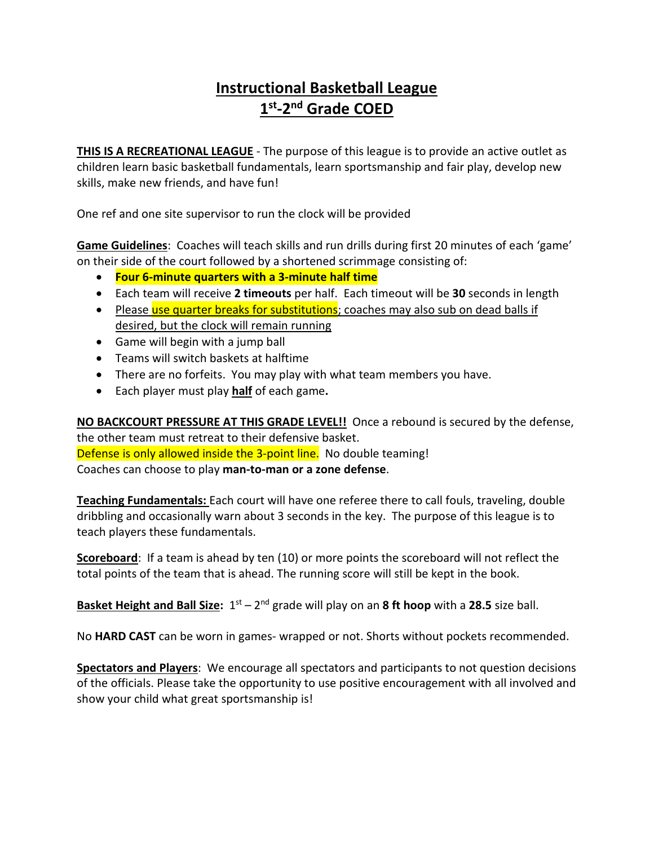# **Instructional Basketball League 1st-2nd Grade COED**

**THIS IS A RECREATIONAL LEAGUE** - The purpose of this league is to provide an active outlet as children learn basic basketball fundamentals, learn sportsmanship and fair play, develop new skills, make new friends, and have fun!

One ref and one site supervisor to run the clock will be provided

**Game Guidelines**: Coaches will teach skills and run drills during first 20 minutes of each 'game' on their side of the court followed by a shortened scrimmage consisting of:

- **Four 6-minute quarters with a 3-minute half time**
- Each team will receive **2 timeouts** per half. Each timeout will be **30** seconds in length
- Please use quarter breaks for substitutions; coaches may also sub on dead balls if desired, but the clock will remain running
- Game will begin with a jump ball
- Teams will switch baskets at halftime
- There are no forfeits. You may play with what team members you have.
- Each player must play **half** of each game**.**

**NO BACKCOURT PRESSURE AT THIS GRADE LEVEL!!** Once a rebound is secured by the defense, the other team must retreat to their defensive basket. Defense is only allowed inside the 3-point line. No double teaming! Coaches can choose to play **man-to-man or a zone defense**.

**Teaching Fundamentals:** Each court will have one referee there to call fouls, traveling, double dribbling and occasionally warn about 3 seconds in the key. The purpose of this league is to teach players these fundamentals.

**Scoreboard**: If a team is ahead by ten (10) or more points the scoreboard will not reflect the total points of the team that is ahead. The running score will still be kept in the book.

**Basket Height and Ball Size:**  $1^{st} - 2^{nd}$  grade will play on an 8 ft hoop with a 28.5 size ball.

No **HARD CAST** can be worn in games- wrapped or not. Shorts without pockets recommended.

**Spectators and Players**: We encourage all spectators and participants to not question decisions of the officials. Please take the opportunity to use positive encouragement with all involved and show your child what great sportsmanship is!